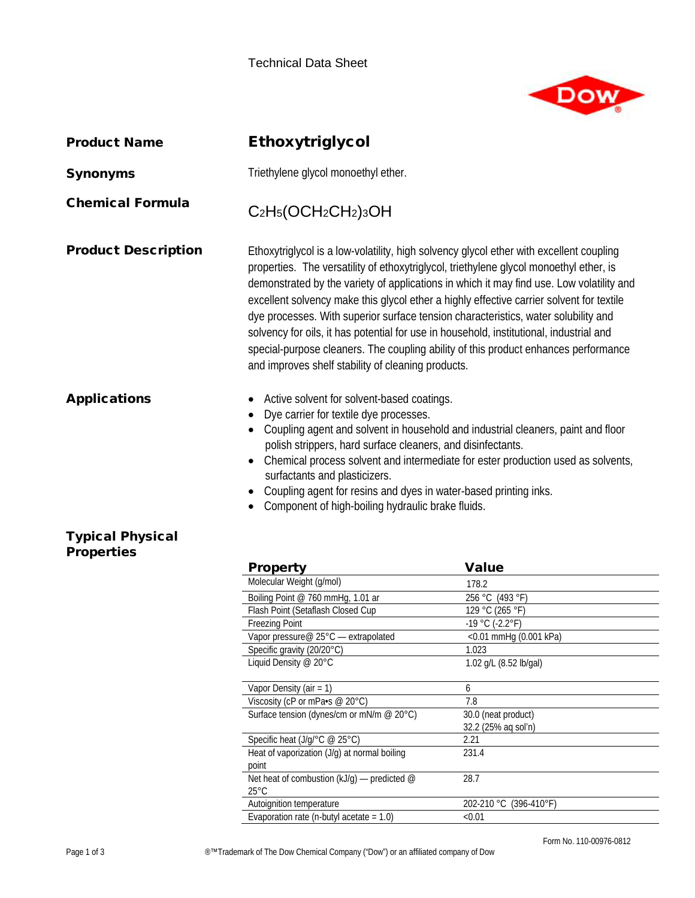

| <b>Product Name</b>                          | Ethoxytriglycol                                                                                                                                                                                                                                                                                                                                                                                                                                                                                                                                                                                                                                                                                         |                                    |  |
|----------------------------------------------|---------------------------------------------------------------------------------------------------------------------------------------------------------------------------------------------------------------------------------------------------------------------------------------------------------------------------------------------------------------------------------------------------------------------------------------------------------------------------------------------------------------------------------------------------------------------------------------------------------------------------------------------------------------------------------------------------------|------------------------------------|--|
| <b>Synonyms</b>                              | Triethylene glycol monoethyl ether.                                                                                                                                                                                                                                                                                                                                                                                                                                                                                                                                                                                                                                                                     |                                    |  |
| <b>Chemical Formula</b>                      | C <sub>2</sub> H <sub>5</sub> (OCH <sub>2</sub> CH <sub>2</sub> ) <sub>3</sub> OH                                                                                                                                                                                                                                                                                                                                                                                                                                                                                                                                                                                                                       |                                    |  |
| <b>Product Description</b>                   | Ethoxytriglycol is a low-volatility, high solvency glycol ether with excellent coupling<br>properties. The versatility of ethoxytriglycol, triethylene glycol monoethyl ether, is<br>demonstrated by the variety of applications in which it may find use. Low volatility and<br>excellent solvency make this glycol ether a highly effective carrier solvent for textile<br>dye processes. With superior surface tension characteristics, water solubility and<br>solvency for oils, it has potential for use in household, institutional, industrial and<br>special-purpose cleaners. The coupling ability of this product enhances performance<br>and improves shelf stability of cleaning products. |                                    |  |
| <b>Applications</b>                          | Active solvent for solvent-based coatings.<br>Dye carrier for textile dye processes.<br>Coupling agent and solvent in household and industrial cleaners, paint and floor<br>polish strippers, hard surface cleaners, and disinfectants.<br>Chemical process solvent and intermediate for ester production used as solvents,<br>surfactants and plasticizers.<br>Coupling agent for resins and dyes in water-based printing inks.<br>Component of high-boiling hydraulic brake fluids.                                                                                                                                                                                                                   |                                    |  |
| <b>Typical Physical</b><br><b>Properties</b> |                                                                                                                                                                                                                                                                                                                                                                                                                                                                                                                                                                                                                                                                                                         |                                    |  |
|                                              | <b>Property</b>                                                                                                                                                                                                                                                                                                                                                                                                                                                                                                                                                                                                                                                                                         | <b>Value</b>                       |  |
|                                              | Molecular Weight (g/mol)                                                                                                                                                                                                                                                                                                                                                                                                                                                                                                                                                                                                                                                                                | 178.2                              |  |
|                                              | Boiling Point @ 760 mmHg, 1.01 ar<br>Flash Point (Setaflash Closed Cup                                                                                                                                                                                                                                                                                                                                                                                                                                                                                                                                                                                                                                  | 256 °C (493 °F)<br>129 °C (265 °F) |  |
|                                              | <b>Freezing Point</b>                                                                                                                                                                                                                                                                                                                                                                                                                                                                                                                                                                                                                                                                                   | $-19 °C (-2.2 °F)$                 |  |
|                                              | Vapor pressure@ 25°C - extrapolated                                                                                                                                                                                                                                                                                                                                                                                                                                                                                                                                                                                                                                                                     | <0.01 mmHg (0.001 kPa)             |  |
|                                              | Specific gravity (20/20°C)                                                                                                                                                                                                                                                                                                                                                                                                                                                                                                                                                                                                                                                                              | 1.023                              |  |
|                                              | Liquid Density @ 20°C                                                                                                                                                                                                                                                                                                                                                                                                                                                                                                                                                                                                                                                                                   | 1.02 g/L (8.52 lb/gal)             |  |
|                                              | Vapor Density (air = 1)                                                                                                                                                                                                                                                                                                                                                                                                                                                                                                                                                                                                                                                                                 | 6                                  |  |
|                                              | Viscosity (cP or mPa•s @ 20°C)                                                                                                                                                                                                                                                                                                                                                                                                                                                                                                                                                                                                                                                                          | 7.8                                |  |

| Vapor pressure $\oslash$ 25°C — extrapolated     | $<$ 0.01 mmHg (0.001 kPa) |
|--------------------------------------------------|---------------------------|
| Specific gravity (20/20°C)                       | 1.023                     |
| Liquid Density @ 20°C                            | 1.02 g/L (8.52 lb/gal)    |
|                                                  |                           |
| Vapor Density (air = $1$ )                       | 6                         |
| Viscosity (cP or mPa $\cdot$ s @ 20 $\degree$ C) | 7.8                       |
| Surface tension (dynes/cm or mN/m $@$ 20 $°C$ )  | 30.0 (neat product)       |
|                                                  | 32.2 (25% ag sol'n)       |
| Specific heat $(J/q)^{\circ}C \ @ 25^{\circ}C)$  | 2.21                      |
| Heat of vaporization (J/g) at normal boiling     | 231.4                     |
| point                                            |                           |
| Net heat of combustion $(kJ/q)$ — predicted @    | 28.7                      |
| $25^{\circ}$ C                                   |                           |
| Autoignition temperature                         | 202-210 °C (396-410°F)    |
| Evaporation rate (n-butyl acetate = $1.0$ )      | < 0.01                    |
|                                                  |                           |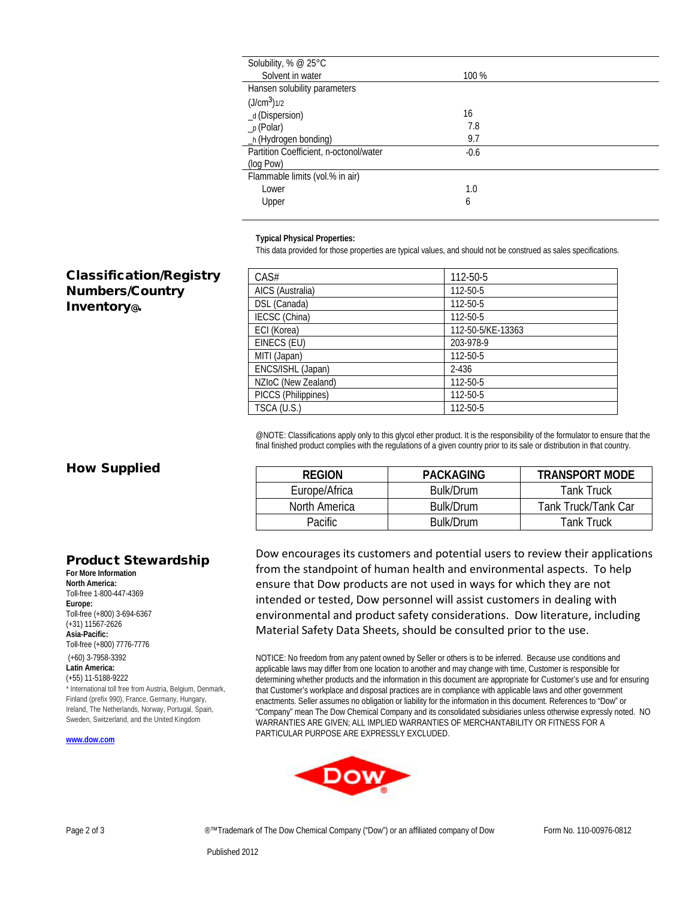| Solubility, % @ 25°C                   |        |  |
|----------------------------------------|--------|--|
| Solvent in water                       | 100 %  |  |
| Hansen solubility parameters           |        |  |
| (J/cm <sup>3</sup> ) <sub>1/2</sub>    |        |  |
| _d (Dispersion)                        | 16     |  |
| $_p$ (Polar)                           | 7.8    |  |
| _h (Hydrogen bonding)                  | 9.7    |  |
| Partition Coefficient, n-octonol/water | $-0.6$ |  |
| (log Pow)                              |        |  |
| Flammable limits (vol.% in air)        |        |  |
| Lower                                  | 1.0    |  |
| Upper                                  | 6      |  |
|                                        |        |  |

**Typical Physical Properties:**

This data provided for those properties are typical values, and should not be construed as sales specifications.

## Classification/Registry Numbers/Country Inventory@.

| CAS#                | 112-50-5          |
|---------------------|-------------------|
| AICS (Australia)    | 112-50-5          |
| DSL (Canada)        | 112-50-5          |
| IECSC (China)       | 112-50-5          |
| ECI (Korea)         | 112-50-5/KE-13363 |
| EINECS (EU)         | 203-978-9         |
| MITI (Japan)        | 112-50-5          |
| ENCS/ISHL (Japan)   | $2 - 436$         |
| NZIoC (New Zealand) | 112-50-5          |
| PICCS (Philippines) | 112-50-5          |
| TSCA (U.S.)         | 112-50-5          |

@NOTE: Classifications apply only to this glycol ether product. It is the responsibility of the formulator to ensure that the final finished product complies with the regulations of a given country prior to its sale or distribution in that country.

## How Supplied

**For More Information North America:** Toll-free 1-800-447-4369

Toll-free (+800) 3-694-6367 (+31) 11567-2626 **Asia-Pacific:**

Toll-free (+800) 7776-7776

(+60) 3-7958-3392 **Latin America:** (+55) 11-5188-9222

**Europe:**

Product Stewardship

\* International toll free from Austria, Belgium, Denmark, Finland (prefix 990), France, Germany, Hungary, Ireland, The Netherlands, Norway, Portugal, Spain, Sweden, Switzerland, and the United Kingdom

| <b>REGION</b> | PACKAGING | <b>TRANSPORT MODE</b> |
|---------------|-----------|-----------------------|
| Europe/Africa | Bulk/Drum | Tank Truck            |
| North America | Bulk/Drum | Tank Truck/Tank Car   |
| Pacific       | Bulk/Drum | <b>Tank Truck</b>     |

## Dow encourages its customers and potential users to review their applications from the standpoint of human health and environmental aspects. To help ensure that Dow products are not used in ways for which they are not intended or tested, Dow personnel will assist customers in dealing with environmental and product safety considerations. Dow literature, including Material Safety Data Sheets, should be consulted prior to the use.

NOTICE: No freedom from any patent owned by Seller or others is to be inferred. Because use conditions and applicable laws may differ from one location to another and may change with time, Customer is responsible for determining whether products and the information in this document are appropriate for Customer's use and for ensuring that Customer's workplace and disposal practices are in compliance with applicable laws and other government enactments. Seller assumes no obligation or liability for the information in this document. References to "Dow" or "Company" mean The Dow Chemical Company and its consolidated subsidiaries unless otherwise expressly noted. NO WARRANTIES ARE GIVEN; ALL IMPLIED WARRANTIES OF MERCHANTABILITY OR FITNESS FOR A PARTICULAR PURPOSE ARE EXPRESSLY EXCLUDED.



**[www.dow.com](http://www.dow.com/)**

Page 2 of 3 **■ ■**™Trademark of The Dow Chemical Company ("Dow") or an affiliated company of Dow Form No. 110-00976-0812